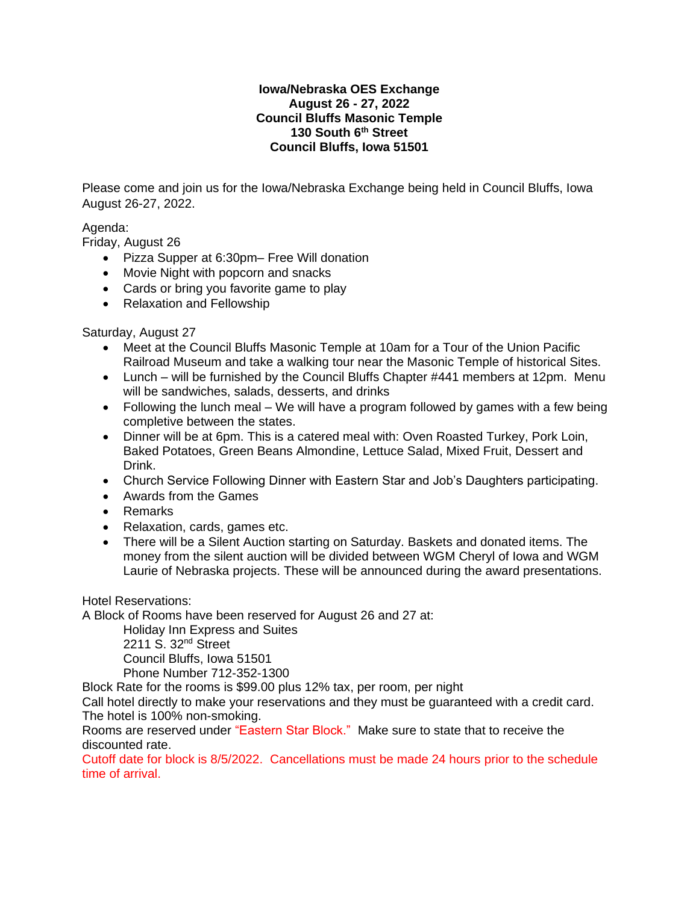#### **Iowa/Nebraska OES Exchange August 26 - 27, 2022 Council Bluffs Masonic Temple 130 South 6th Street Council Bluffs, Iowa 51501**

Please come and join us for the Iowa/Nebraska Exchange being held in Council Bluffs, Iowa August 26-27, 2022.

# Agenda:

Friday, August 26

- Pizza Supper at 6:30pm– Free Will donation
- Movie Night with popcorn and snacks
- Cards or bring you favorite game to play
- Relaxation and Fellowship

## Saturday, August 27

- Meet at the Council Bluffs Masonic Temple at 10am for a Tour of the Union Pacific Railroad Museum and take a walking tour near the Masonic Temple of historical Sites.
- Lunch will be furnished by the Council Bluffs Chapter #441 members at 12pm. Menu will be sandwiches, salads, desserts, and drinks
- Following the lunch meal We will have a program followed by games with a few being completive between the states.
- Dinner will be at 6pm. This is a catered meal with: Oven Roasted Turkey, Pork Loin, Baked Potatoes, Green Beans Almondine, Lettuce Salad, Mixed Fruit, Dessert and Drink.
- Church Service Following Dinner with Eastern Star and Job's Daughters participating.
- Awards from the Games
- Remarks
- Relaxation, cards, games etc.
- There will be a Silent Auction starting on Saturday. Baskets and donated items. The money from the silent auction will be divided between WGM Cheryl of Iowa and WGM Laurie of Nebraska projects. These will be announced during the award presentations.

Hotel Reservations:

A Block of Rooms have been reserved for August 26 and 27 at:

Holiday Inn Express and Suites 2211 S. 32<sup>nd</sup> Street

Council Bluffs, Iowa 51501

Phone Number 712-352-1300

Block Rate for the rooms is \$99.00 plus 12% tax, per room, per night

Call hotel directly to make your reservations and they must be guaranteed with a credit card. The hotel is 100% non-smoking.

Rooms are reserved under "Eastern Star Block." Make sure to state that to receive the discounted rate.

Cutoff date for block is 8/5/2022. Cancellations must be made 24 hours prior to the schedule time of arrival.